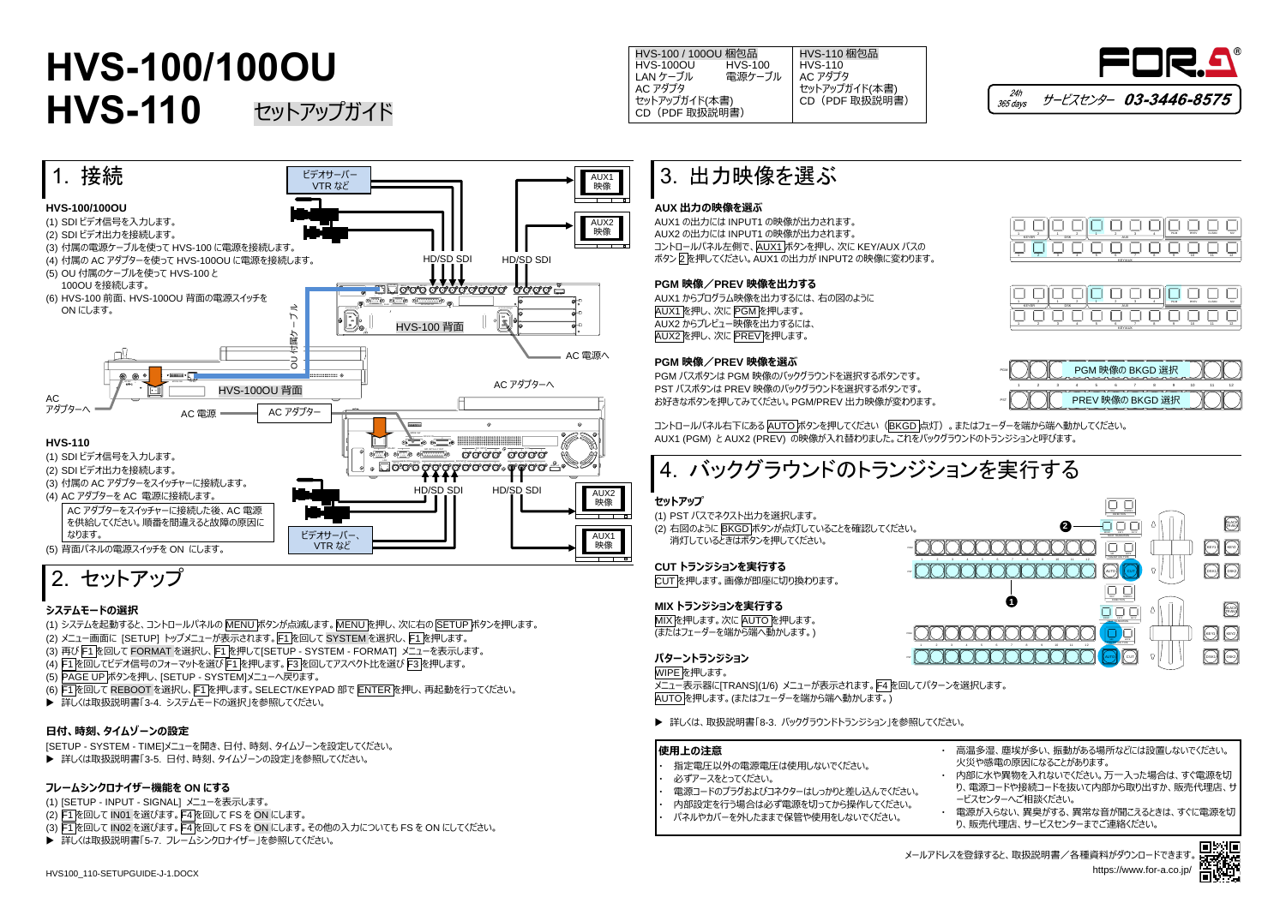HVS100\_110-SETUPGUIDE-J-1.DOCX





- (1) システムを起動すると、コントロールパネルの MENU ボタンが点滅します。MENU を押し、次に右の SETUP ボタンを押します。 (2) メニュー画面に [SETUP] トップメニューが表示されます。F1 を回して SYSTEM を選択し、F1 を押します。 (3) 再び F1 を回して FORMAT を選択し、F1 を押して[SETUP - SYSTEM - FORMAT] メニューを表示します。 (4) F1 を回してビデオ信号のフォーマットを選び F1 を押します。F3 を回してアスペクト比を選び F3 を押します。
- (5) PAGE UP ボタンを押し、[SETUP SYSTEM]メニューへ戻ります。
- (6) F1 を回して REBOOT を選択し、F1 を押します。SELECT/KEYPAD 部で ENTER を押し、再起動を行ってください。
- ▶ 詳しくは取扱説明書「3-4. システムモードの選択」を参照してください。



## 2. セットアップ

#### **システムモードの選択**

- (1) [SETUP INPUT SIGNAL] メニューを表示します。
- (2) F1 を回して IN01 を選びます。F4 を回して FS を ON にします。
- (3) F1 を回して IN02 を選びます。F4 を回して FS を ON にします。その他の入力についても FS を ON にしてください。
- ▶ 詳しくは取扱説明書「5-7. フレームシンクロナイザー」を参照してください。

コントロールパネル右下にある AUTO ボタンを押してください (BKGD 点灯)。またはフェーダーを端から端へ動かしてください。 AUX1 (PGM) と AUX2 (PREV) の映像が入れ替わりました。これをバックグラウンドのトランジションと呼びます。

#### **日付、時刻、タイムゾーンの設定**

[SETUP - SYSTEM - TIME]メニューを開き、日付、時刻、タイムゾーンを設定してください。

▶ 詳しくは取扱説明書「3-5. 日付、時刻、タイムゾーンの設定」を参照してください。

#### **フレームシンクロナイザー機能を ON にする**

多湿、塵埃が多い、振動がある場所などには設置しないでください。 火災や感電の原因になることがあります。

8に水や異物を入れないでください。万一入った場合は、すぐ電源を切 り、電源コードや接続コードを抜いて内部から取り出すか、販売代理店、サ ービスセンターへご相談ください。

### 3. 出力映像を選ぶ

#### **AUX 出力の映像を選ぶ**

HVS-100 / 100OU 梱包品<br>HVS-100OU HVS-100 HVS-100OU HVS-100<br>LAN ケーブル 電源ケーブル LAN ケーブル AC アダプタ セットアップガイド(本書) CD(PDF 取扱説明書) HVS-110 梱包品 HVS-110 AC アダプタ セットアップガイド(本書) CD(PDF 取扱説明書)

AUX1 の出力には INPUT1 の映像が出力されます。 AUX2 の出力には INPUT1 の映像が出力されます。 コントロールパネル左側で、AUX1 ボタンを押し、次に KEY/AUX バスの ボタン 2 を押してください。AUX1 の出力が INPUT2 の映像に変わります。

#### **PGM 映像/PREV 映像を出力する**

AUX1 からプログラム映像を出力するには、右の図のように AUX1 を押し、次に PGM を押します。 AUX2 からプレビュー映像を出力するには、 AUX2 を押し、次に PREV を押します。

#### **PGM 映像/PREV 映像を選ぶ**

PGM バスボタンは PGM 映像のバックグラウンドを選択するボタンです。 PST バスボタンは PREV 映像のバックグラウンドを選択するボタンです。 お好きなボタンを押してみてください。PGM/PREV 出力映像が変わります。

### **HVS-100/100OU HVS-110** セットアップガイド







メニュー表示器に[TRANS](1/6) メニューが表示されます。F4 を回してパターンを選択します。 AUTO を押します。(またはフェーダーを端から端へ動かします。)

▶ 詳しくは、取扱説明書「8-3. バックグラウンドトランジション |を参照してください。

| 使用上の注意                                                                         | 高温                     |
|--------------------------------------------------------------------------------|------------------------|
| 指定電圧以外の電源電圧は使用しないでください。<br>必ずアースをとってください。<br>電源コードのプラグおよびコネクターはしっかりと差し込んでください。 | 火災<br>内部<br>り、雷<br>ービス |
| 内部設定を行う場合は必ず電源を切ってから操作してください。<br>パネルやカバーを外したままで保管や使用をしないでください。                 | 電源<br>り、販              |

・ 電源が入らない、異臭がする、異常な音が聞こえるときは、すぐに電源を切 り、販売代理店、サービスセンターまでご連絡ください。